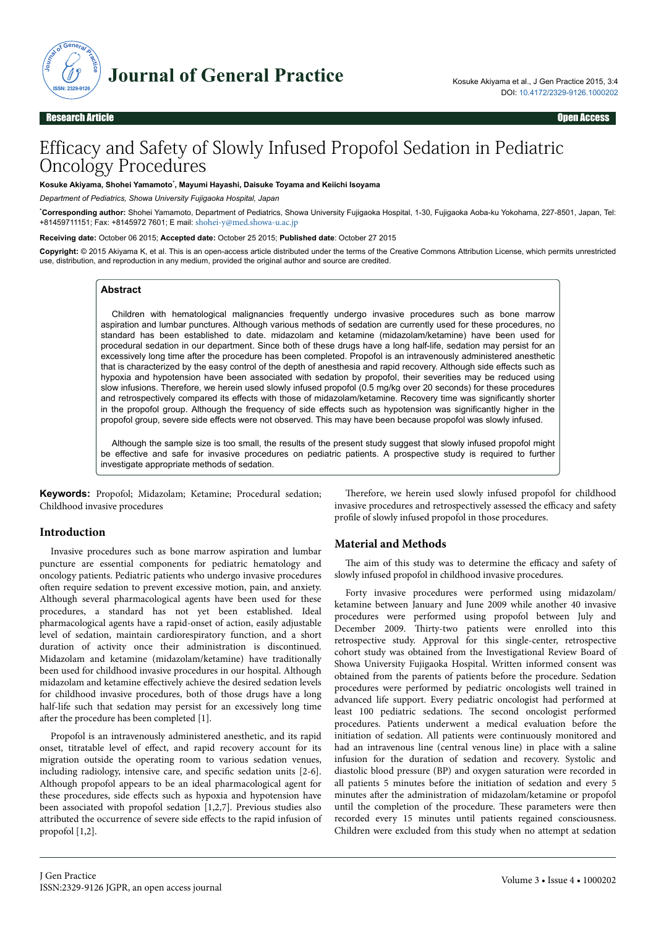

# Efficacy and Safety of Slowly Infused Propofol Sedation in Pediatric Oncology Procedures

**Kosuke Akiyama, Shohei Yamamoto**\* **, Mayumi Hayashi, Daisuke Toyama and Keiichi Isoyama**

*Department of Pediatrics, Showa University Fujigaoka Hospital, Japan*

\***Corresponding author:** Shohei Yamamoto, Department of Pediatrics, Showa University Fujigaoka Hospital, 1-30, Fujigaoka Aoba-ku Yokohama, 227-8501, Japan, Tel: +81459711151; Fax: +8145972 7601; E mail: [shohei-y@med.showa-u.ac.jp](mailto:shohei-y@med.showa-u.ac.jp)

**Receiving date:** October 06 2015; **Accepted date:** October 25 2015; **Published date**: October 27 2015

**Copyright:** © 2015 Akiyama K, et al. This is an open-access article distributed under the terms of the Creative Commons Attribution License, which permits unrestricted use, distribution, and reproduction in any medium, provided the original author and source are credited.

## **Abstract**

Children with hematological malignancies frequently undergo invasive procedures such as bone marrow aspiration and lumbar punctures. Although various methods of sedation are currently used for these procedures, no standard has been established to date. midazolam and ketamine (midazolam/ketamine) have been used for procedural sedation in our department. Since both of these drugs have a long half-life, sedation may persist for an excessively long time after the procedure has been completed. Propofol is an intravenously administered anesthetic that is characterized by the easy control of the depth of anesthesia and rapid recovery. Although side effects such as hypoxia and hypotension have been associated with sedation by propofol, their severities may be reduced using slow infusions. Therefore, we herein used slowly infused propofol (0.5 mg/kg over 20 seconds) for these procedures and retrospectively compared its effects with those of midazolam/ketamine. Recovery time was significantly shorter in the propofol group. Although the frequency of side effects such as hypotension was significantly higher in the propofol group, severe side effects were not observed. This may have been because propofol was slowly infused.

Although the sample size is too small, the results of the present study suggest that slowly infused propofol might be effective and safe for invasive procedures on pediatric patients. A prospective study is required to further investigate appropriate methods of sedation.

**Keywords:** Propofol; Midazolam; Ketamine; Procedural sedation; Childhood invasive procedures

## **Introduction**

Invasive procedures such as bone marrow aspiration and lumbar puncture are essential components for pediatric hematology and oncology patients. Pediatric patients who undergo invasive procedures often require sedation to prevent excessive motion, pain, and anxiety. Although several pharmacological agents have been used for these procedures, a standard has not yet been established. Ideal pharmacological agents have a rapid-onset of action, easily adjustable level of sedation, maintain cardiorespiratory function, and a short duration of activity once their administration is discontinued. Midazolam and ketamine (midazolam/ketamine) have traditionally been used for childhood invasive procedures in our hospital. Although midazolam and ketamine effectively achieve the desired sedation levels for childhood invasive procedures, both of those drugs have a long half-life such that sedation may persist for an excessively long time after the procedure has been completed [1].

Propofol is an intravenously administered anesthetic, and its rapid onset, titratable level of effect, and rapid recovery account for its migration outside the operating room to various sedation venues, including radiology, intensive care, and specific sedation units [2-6]. Although propofol appears to be an ideal pharmacological agent for these procedures, side effects such as hypoxia and hypotension have been associated with propofol sedation [1,2,7]. Previous studies also attributed the occurrence of severe side effects to the rapid infusion of propofol [1,2].

Therefore, we herein used slowly infused propofol for childhood invasive procedures and retrospectively assessed the efficacy and safety profile of slowly infused propofol in those procedures.

#### **Material and Methods**

The aim of this study was to determine the efficacy and safety of slowly infused propofol in childhood invasive procedures.

Forty invasive procedures were performed using midazolam/ ketamine between January and June 2009 while another 40 invasive procedures were performed using propofol between July and December 2009. Thirty-two patients were enrolled into this retrospective study. Approval for this single-center, retrospective cohort study was obtained from the Investigational Review Board of Showa University Fujigaoka Hospital. Written informed consent was obtained from the parents of patients before the procedure. Sedation procedures were performed by pediatric oncologists well trained in advanced life support. Every pediatric oncologist had performed at least 100 pediatric sedations. Нe second oncologist performed procedures. Patients underwent a medical evaluation before the initiation of sedation. All patients were continuously monitored and had an intravenous line (central venous line) in place with a saline infusion for the duration of sedation and recovery. Systolic and diastolic blood pressure (BP) and oxygen saturation were recorded in all patients 5 minutes before the initiation of sedation and every 5 minutes after the administration of midazolam/ketamine or propofol until the completion of the procedure. Нese parameters were then recorded every 15 minutes until patients regained consciousness. Children were excluded from this study when no attempt at sedation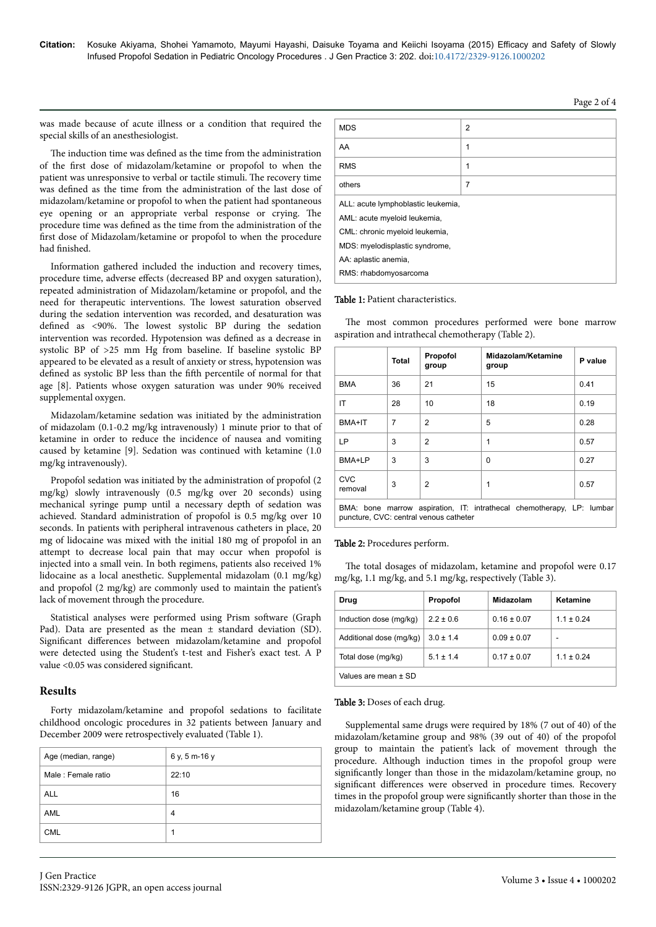was made because of acute illness or a condition that required the special skills of an anesthesiologist.

The induction time was defined as the time from the administration of the first dose of midazolam/ketamine or propofol to when the patient was unresponsive to verbal or tactile stimuli. Нe recovery time was defined as the time from the administration of the last dose of midazolam/ketamine or propofol to when the patient had spontaneous eye opening or an appropriate verbal response or crying. Нe procedure time was defined as the time from the administration of the first dose of Midazolam/ketamine or propofol to when the procedure had finished.

Information gathered included the induction and recovery times, procedure time, adverse effects (decreased BP and oxygen saturation), repeated administration of Midazolam/ketamine or propofol, and the need for therapeutic interventions. Нe lowest saturation observed during the sedation intervention was recorded, and desaturation was defined as <90%. Нe lowest systolic BP during the sedation intervention was recorded. Hypotension was defined as a decrease in systolic BP of >25 mm Hg from baseline. If baseline systolic BP appeared to be elevated as a result of anxiety or stress, hypotension was defined as systolic BP less than the fifth percentile of normal for that age [8]. Patients whose oxygen saturation was under 90% received supplemental oxygen.

Midazolam/ketamine sedation was initiated by the administration of midazolam (0.1-0.2 mg/kg intravenously) 1 minute prior to that of ketamine in order to reduce the incidence of nausea and vomiting caused by ketamine [9]. Sedation was continued with ketamine (1.0 mg/kg intravenously).

Propofol sedation was initiated by the administration of propofol (2 mg/kg) slowly intravenously (0.5 mg/kg over 20 seconds) using mechanical syringe pump until a necessary depth of sedation was achieved. Standard administration of propofol is 0.5 mg/kg over 10 seconds. In patients with peripheral intravenous catheters in place, 20 mg of lidocaine was mixed with the initial 180 mg of propofol in an attempt to decrease local pain that may occur when propofol is injected into a small vein. In both regimens, patients also received 1% lidocaine as a local anesthetic. Supplemental midazolam (0.1 mg/kg) and propofol (2 mg/kg) are commonly used to maintain the patient's lack of movement through the procedure.

Statistical analyses were performed using Prism software (Graph Pad). Data are presented as the mean ± standard deviation (SD). Significant differences between midazolam/ketamine and propofol were detected using the Student's t-test and Fisher's exact test. A P value <0.05 was considered significant.

## **Results**

Forty midazolam/ketamine and propofol sedations to facilitate childhood oncologic procedures in 32 patients between January and December 2009 were retrospectively evaluated (Table 1).

| Age (median, range) | 6 y, 5 m-16 y |
|---------------------|---------------|
| Male: Female ratio  | 22:10         |
| <b>ALL</b>          | 16            |
| AML                 | 4             |
| <b>CML</b>          |               |

| <b>MDS</b>                         | 2 |  |  |
|------------------------------------|---|--|--|
| AA                                 | 1 |  |  |
| <b>RMS</b>                         | 1 |  |  |
| others                             | 7 |  |  |
| ALL: acute lymphoblastic leukemia, |   |  |  |
| AML: acute myeloid leukemia,       |   |  |  |
| CML: chronic myeloid leukemia,     |   |  |  |
| MDS: myelodisplastic syndrome,     |   |  |  |
| AA: aplastic anemia,               |   |  |  |
| RMS: rhabdomyosarcoma              |   |  |  |

Table 1: Patient characteristics.

The most common procedures performed were bone marrow aspiration and intrathecal chemotherapy (Table 2).

|                                                                                                                 | Total | Propofol<br>group | Midazolam/Ketamine<br>group | P value |
|-----------------------------------------------------------------------------------------------------------------|-------|-------------------|-----------------------------|---------|
| <b>BMA</b>                                                                                                      | 36    | 21                | 15                          | 0.41    |
| IT                                                                                                              | 28    | 10                | 18                          | 0.19    |
| BMA+IT                                                                                                          | 7     | $\overline{2}$    | 5                           | 0.28    |
| LP                                                                                                              | 3     | $\overline{2}$    | 1                           | 0.57    |
| BMA+LP                                                                                                          | 3     | 3                 | 0                           | 0.27    |
| <b>CVC</b><br>removal                                                                                           | 3     | $\overline{2}$    | 1                           | 0.57    |
| BMA: bone marrow aspiration, IT: intrathecal chemotherapy, LP: lumbar<br>puncture, CVC: central venous catheter |       |                   |                             |         |

Table 2: Procedures perform.

The total dosages of midazolam, ketamine and propofol were 0.17 mg/kg, 1.1 mg/kg, and 5.1 mg/kg, respectively (Table 3).

| Drug                    | Propofol      | Midazolam       | Ketamine       |
|-------------------------|---------------|-----------------|----------------|
| Induction dose (mg/kg)  | $2.2 \pm 0.6$ | $0.16 \pm 0.07$ | $1.1 \pm 0.24$ |
| Additional dose (mg/kg) | $3.0 \pm 1.4$ | $0.09 \pm 0.07$ |                |
| Total dose (mg/kg)      | $5.1 \pm 1.4$ | $0.17 \pm 0.07$ | $1.1 \pm 0.24$ |
| Values are mean ± SD    |               |                 |                |

#### Table 3: Doses of each drug.

Supplemental same drugs were required by 18% (7 out of 40) of the midazolam/ketamine group and 98% (39 out of 40) of the propofol group to maintain the patient's lack of movement through the procedure. Although induction times in the propofol group were significantly longer than those in the midazolam/ketamine group, no significant differences were observed in procedure times. Recovery times in the propofol group were significantly shorter than those in the midazolam/ketamine group (Table 4).

Page 2 of 4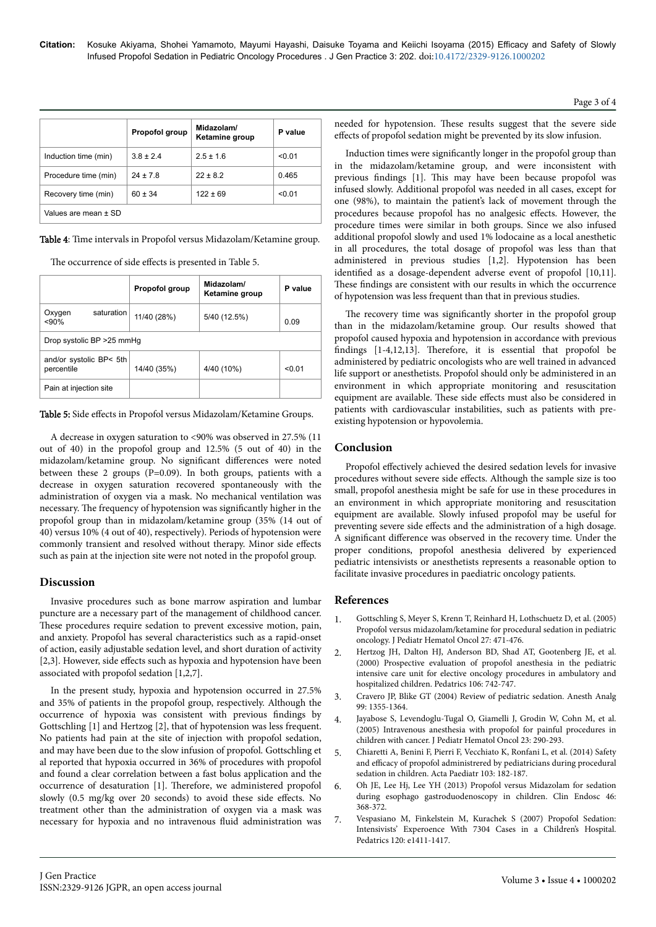|                          | Propofol group | Midazolam/<br>Ketamine group | P value |
|--------------------------|----------------|------------------------------|---------|
| Induction time (min)     | $3.8 \pm 2.4$  | $2.5 \pm 1.6$                | < 0.01  |
| Procedure time (min)     | $24 \pm 7.8$   | $22 \pm 8.2$                 | 0.465   |
| Recovery time (min)      | $60 \pm 34$    | $122 \pm 69$                 | < 0.01  |
| Values are mean $\pm$ SD |                |                              |         |

Table 4: Time intervals in Propofol versus Midazolam/Ketamine group.

The occurrence of side effects is presented in Table 5.

|                                       | Propofol group | Midazolam/<br>Ketamine group | P value |
|---------------------------------------|----------------|------------------------------|---------|
| saturation<br>Oxygen<br>< 90%         | 11/40 (28%)    | 5/40 (12.5%)                 | 0.09    |
| Drop systolic BP >25 mmHq             |                |                              |         |
| and/or systolic BP< 5th<br>percentile | 14/40 (35%)    | 4/40 (10%)                   | < 0.01  |
| Pain at injection site                |                |                              |         |

Table 5: Side effects in Propofol versus Midazolam/Ketamine Groups.

A decrease in oxygen saturation to <90% was observed in 27.5% (11 out of 40) in the propofol group and 12.5% (5 out of 40) in the midazolam/ketamine group. No significant differences were noted between these 2 groups (P=0.09). In both groups, patients with a decrease in oxygen saturation recovered spontaneously with the administration of oxygen via a mask. No mechanical ventilation was necessary. The frequency of hypotension was significantly higher in the propofol group than in midazolam/ketamine group (35% (14 out of 40) versus 10% (4 out of 40), respectively). Periods of hypotension were commonly transient and resolved without therapy. Minor side effects such as pain at the injection site were not noted in the propofol group.

## **Discussion**

Invasive procedures such as bone marrow aspiration and lumbar puncture are a necessary part of the management of childhood cancer. These procedures require sedation to prevent excessive motion, pain, and anxiety. Propofol has several characteristics such as a rapid-onset of action, easily adjustable sedation level, and short duration of activity [2,3]. However, side effects such as hypoxia and hypotension have been associated with propofol sedation [1,2,7].

In the present study, hypoxia and hypotension occurred in 27.5% and 35% of patients in the propofol group, respectively. Although the occurrence of hypoxia was consistent with previous findings by Gottschling [1] and Hertzog [2], that of hypotension was less frequent. No patients had pain at the site of injection with propofol sedation, and may have been due to the slow infusion of propofol. Gottschling et al reported that hypoxia occurred in 36% of procedures with propofol and found a clear correlation between a fast bolus application and the occurrence of desaturation [1]. Нerefore, we administered propofol slowly (0.5 mg/kg over 20 seconds) to avoid these side effects. No treatment other than the administration of oxygen via a mask was necessary for hypoxia and no intravenous fluid administration was

needed for hypotension. Нese results suggest that the severe side effects of propofol sedation might be prevented by its slow infusion.

Induction times were significantly longer in the propofol group than in the midazolam/ketamine group, and were inconsistent with previous findings [1]. Нis may have been because propofol was infused slowly. Additional propofol was needed in all cases, except for one (98%), to maintain the patient's lack of movement through the procedures because propofol has no analgesic effects. However, the procedure times were similar in both groups. Since we also infused additional propofol slowly and used 1% lodocaine as a local anesthetic in all procedures, the total dosage of propofol was less than that administered in previous studies [1,2]. Hypotension has been identified as a dosage-dependent adverse event of propofol [10,11]. These findings are consistent with our results in which the occurrence of hypotension was less frequent than that in previous studies.

The recovery time was significantly shorter in the propofol group than in the midazolam/ketamine group. Our results showed that propofol caused hypoxia and hypotension in accordance with previous findings [1-4,12,13]. Нerefore, it is essential that propofol be administered by pediatric oncologists who are well trained in advanced life support or anesthetists. Propofol should only be administered in an environment in which appropriate monitoring and resuscitation equipment are available. These side effects must also be considered in patients with cardiovascular instabilities, such as patients with preexisting hypotension or hypovolemia.

# **Conclusion**

Propofol effectively achieved the desired sedation levels for invasive procedures without severe side effects. Although the sample size is too small, propofol anesthesia might be safe for use in these procedures in an environment in which appropriate monitoring and resuscitation equipment are available. Slowly infused propofol may be useful for preventing severe side effects and the administration of a high dosage. A significant difference was observed in the recovery time. Under the proper conditions, propofol anesthesia delivered by experienced pediatric intensivists or anesthetists represents a reasonable option to facilitate invasive procedures in paediatric oncology patients.

# **References**

- 1. [Gottschling S, Meyer S, Krenn T, Reinhard H, Lothschuetz D, et al. \(2005\)](http://www.ncbi.nlm.nih.gov/pubmed/16189439) [Propofol versus midazolam/ketamine for procedural sedation in pediatric](http://www.ncbi.nlm.nih.gov/pubmed/16189439) [oncology. J Pediatr Hematol Oncol 27: 471-476.](http://www.ncbi.nlm.nih.gov/pubmed/16189439)
- 2. [Hertzog JH, Dalton HJ, Anderson BD, Shad AT, Gootenberg JE, et al.](http://www.ncbi.nlm.nih.gov/pubmed/11015517) [\(2000\) Prospective evaluation of propofol anesthesia in the pediatric](http://www.ncbi.nlm.nih.gov/pubmed/11015517) [intensive care unit for elective oncology procedures in ambulatory and](http://www.ncbi.nlm.nih.gov/pubmed/11015517) [hospitalized children. Pedatrics 106: 742-747.](http://www.ncbi.nlm.nih.gov/pubmed/11015517)
- 3. [Cravero JP, Blike GT \(2004\) Review of pediatric sedation. Anesth Analg](http://www.ncbi.nlm.nih.gov/pubmed/15502031) [99: 1355-1364.](http://www.ncbi.nlm.nih.gov/pubmed/15502031)
- 4. [Jayabose S, Levendoglu-Tugal O, Giamelli J, Grodin W, Cohn M, et al.](http://www.lume.ufrgs.br/bitstream/handle/10183/12944/000635309.pdf?...) [\(2005\) Intravenous anesthesia with propofol for painful procedures in](http://www.lume.ufrgs.br/bitstream/handle/10183/12944/000635309.pdf?...) [children with cancer. J Pediatr Hematol Oncol 23: 290-293.](http://www.lume.ufrgs.br/bitstream/handle/10183/12944/000635309.pdf?...)
- 5. [Chiaretti A, Benini F, Pierri F, Vecchiato K, Ronfani L, et al. \(2014\) Safety](http://www.ncbi.nlm.nih.gov/pubmed/24138461) and efficacy [of propofol administrered by pediatricians during procedural](http://www.ncbi.nlm.nih.gov/pubmed/24138461) [sedation in children. Acta Paediatr 103: 182-187.](http://www.ncbi.nlm.nih.gov/pubmed/24138461)
- 6. [Oh JE, Lee Hj, Lee YH \(2013\) Propofol versus Midazolam for sedation](http://www.ncbi.nlm.nih.gov/pmc/articles/PMC3746132/) [during esophago gastroduodenoscopy in children. Clin Endosc 46:](http://www.ncbi.nlm.nih.gov/pmc/articles/PMC3746132/) [368-372.](http://www.ncbi.nlm.nih.gov/pmc/articles/PMC3746132/)
- 7. [Vespasiano M, Finkelstein M, Kurachek S \(2007\) Propofol Sedation:](http://www.ncbi.nlm.nih.gov/pubmed/18055659) [Intensivists' Experoence With 7304 Cases in a Children's Hospital.](http://www.ncbi.nlm.nih.gov/pubmed/18055659) [Pedatrics 120: e1411-1417.](http://www.ncbi.nlm.nih.gov/pubmed/18055659)

Page 3 of 4